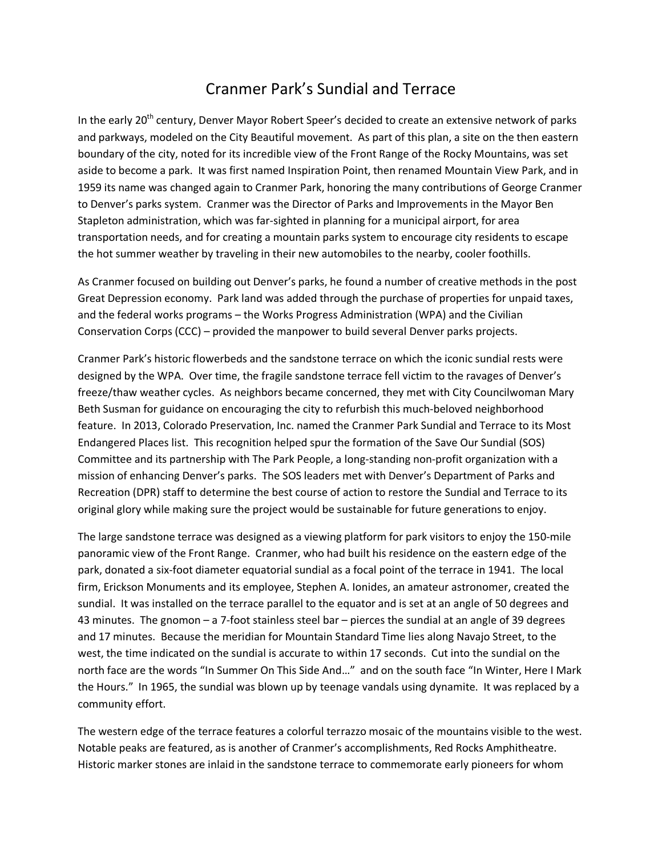## Cranmer Park's Sundial and Terrace

In the early 20<sup>th</sup> century, Denver Mayor Robert Speer's decided to create an extensive network of parks and parkways, modeled on the City Beautiful movement. As part of this plan, a site on the then eastern boundary of the city, noted for its incredible view of the Front Range of the Rocky Mountains, was set aside to become a park. It was first named Inspiration Point, then renamed Mountain View Park, and in 1959 its name was changed again to Cranmer Park, honoring the many contributions of George Cranmer to Denver's parks system. Cranmer was the Director of Parks and Improvements in the Mayor Ben Stapleton administration, which was far-sighted in planning for a municipal airport, for area transportation needs, and for creating a mountain parks system to encourage city residents to escape the hot summer weather by traveling in their new automobiles to the nearby, cooler foothills.

As Cranmer focused on building out Denver's parks, he found a number of creative methods in the post Great Depression economy. Park land was added through the purchase of properties for unpaid taxes, and the federal works programs – the Works Progress Administration (WPA) and the Civilian Conservation Corps (CCC) – provided the manpower to build several Denver parks projects.

Cranmer Park's historic flowerbeds and the sandstone terrace on which the iconic sundial rests were designed by the WPA. Over time, the fragile sandstone terrace fell victim to the ravages of Denver's freeze/thaw weather cycles. As neighbors became concerned, they met with City Councilwoman Mary Beth Susman for guidance on encouraging the city to refurbish this much-beloved neighborhood feature. In 2013, Colorado Preservation, Inc. named the Cranmer Park Sundial and Terrace to its Most Endangered Places list. This recognition helped spur the formation of the Save Our Sundial (SOS) Committee and its partnership with The Park People, a long-standing non-profit organization with a mission of enhancing Denver's parks. The SOS leaders met with Denver's Department of Parks and Recreation (DPR) staff to determine the best course of action to restore the Sundial and Terrace to its original glory while making sure the project would be sustainable for future generations to enjoy.

The large sandstone terrace was designed as a viewing platform for park visitors to enjoy the 150-mile panoramic view of the Front Range. Cranmer, who had built his residence on the eastern edge of the park, donated a six-foot diameter equatorial sundial as a focal point of the terrace in 1941. The local firm, Erickson Monuments and its employee, Stephen A. Ionides, an amateur astronomer, created the sundial. It was installed on the terrace parallel to the equator and is set at an angle of 50 degrees and 43 minutes. The gnomon – a 7-foot stainless steel bar – pierces the sundial at an angle of 39 degrees and 17 minutes. Because the meridian for Mountain Standard Time lies along Navajo Street, to the west, the time indicated on the sundial is accurate to within 17 seconds. Cut into the sundial on the north face are the words "In Summer On This Side And…" and on the south face "In Winter, Here I Mark the Hours." In 1965, the sundial was blown up by teenage vandals using dynamite. It was replaced by a community effort.

The western edge of the terrace features a colorful terrazzo mosaic of the mountains visible to the west. Notable peaks are featured, as is another of Cranmer's accomplishments, Red Rocks Amphitheatre. Historic marker stones are inlaid in the sandstone terrace to commemorate early pioneers for whom